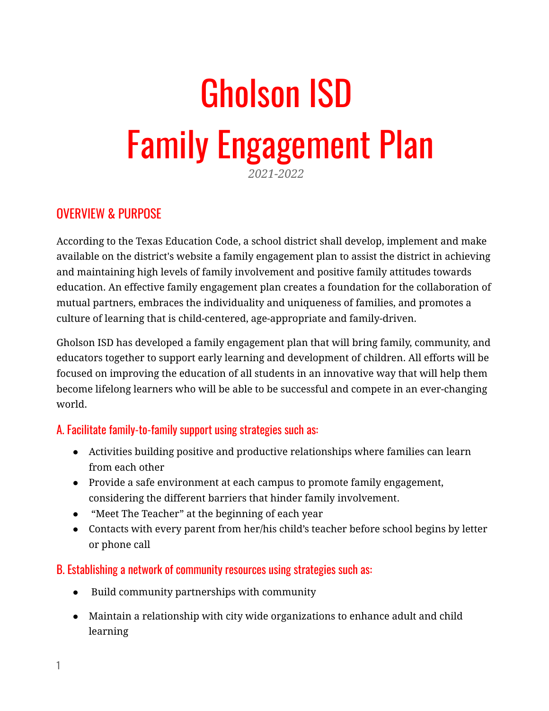# Gholson ISD Family Engagement Plan

#### *2021-2022*

## OVERVIEW & PURPOSE

According to the Texas Education Code, a school district shall develop, implement and make available on the district's website a family engagement plan to assist the district in achieving and maintaining high levels of family involvement and positive family attitudes towards education. An effective family engagement plan creates a foundation for the collaboration of mutual partners, embraces the individuality and uniqueness of families, and promotes a culture of learning that is child-centered, age-appropriate and family-driven.

Gholson ISD has developed a family engagement plan that will bring family, community, and educators together to support early learning and development of children. All efforts will be focused on improving the education of all students in an innovative way that will help them become lifelong learners who will be able to be successful and compete in an ever-changing world.

#### A. Facilitate family-to-family support using strategies such as:

- Activities building positive and productive relationships where families can learn from each other
- Provide a safe environment at each campus to promote family engagement, considering the different barriers that hinder family involvement.
- "Meet The Teacher" at the beginning of each year
- Contacts with every parent from her/his child's teacher before school begins by letter or phone call

#### B. Establishing a network of community resources using strategies such as:

- Build community partnerships with community
- Maintain a relationship with city wide organizations to enhance adult and child learning